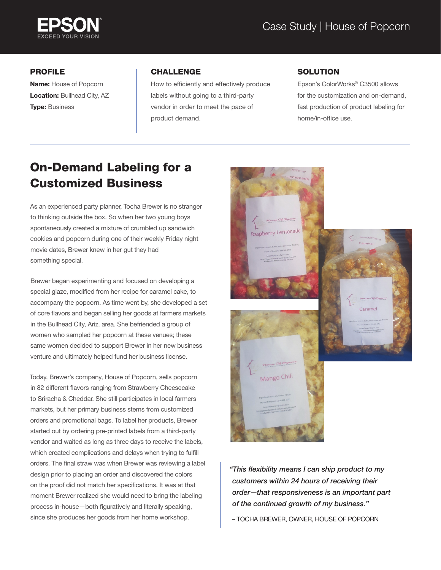

## PROFILE

Name: House of Popcorn Location: Bullhead City, AZ **Type: Business** 

## CHALLENGE

How to efficiently and effectively produce labels without going to a third-party vendor in order to meet the pace of product demand.

## **SOLUTION**

Epson's ColorWorks® C3500 allows for the customization and on-demand, fast production of product labeling for home/in-office use.

## On-Demand Labeling for a Customized Business

As an experienced party planner, Tocha Brewer is no stranger to thinking outside the box. So when her two young boys spontaneously created a mixture of crumbled up sandwich cookies and popcorn during one of their weekly Friday night movie dates, Brewer knew in her gut they had something special.

Brewer began experimenting and focused on developing a special glaze, modified from her recipe for caramel cake, to accompany the popcorn. As time went by, she developed a set of core flavors and began selling her goods at farmers markets in the Bullhead City, Ariz. area. She befriended a group of women who sampled her popcorn at these venues; these same women decided to support Brewer in her new business venture and ultimately helped fund her business license.

Today, Brewer's company, House of Popcorn, sells popcorn in 82 different flavors ranging from Strawberry Cheesecake to Sriracha & Cheddar. She still participates in local farmers markets, but her primary business stems from customized orders and promotional bags. To label her products, Brewer started out by ordering pre-printed labels from a third-party vendor and waited as long as three days to receive the labels, which created complications and delays when trying to fulfill orders. The final straw was when Brewer was reviewing a label design prior to placing an order and discovered the colors on the proof did not match her specifications. It was at that moment Brewer realized she would need to bring the labeling process in-house—both figuratively and literally speaking, since she produces her goods from her home workshop.



*"This flexibility means I can ship product to my customers within 24 hours of receiving their order—that responsiveness is an important part of the continued growth of my business."*

– TOCHA BREWER, OWNER, HOUSE OF POPCORN